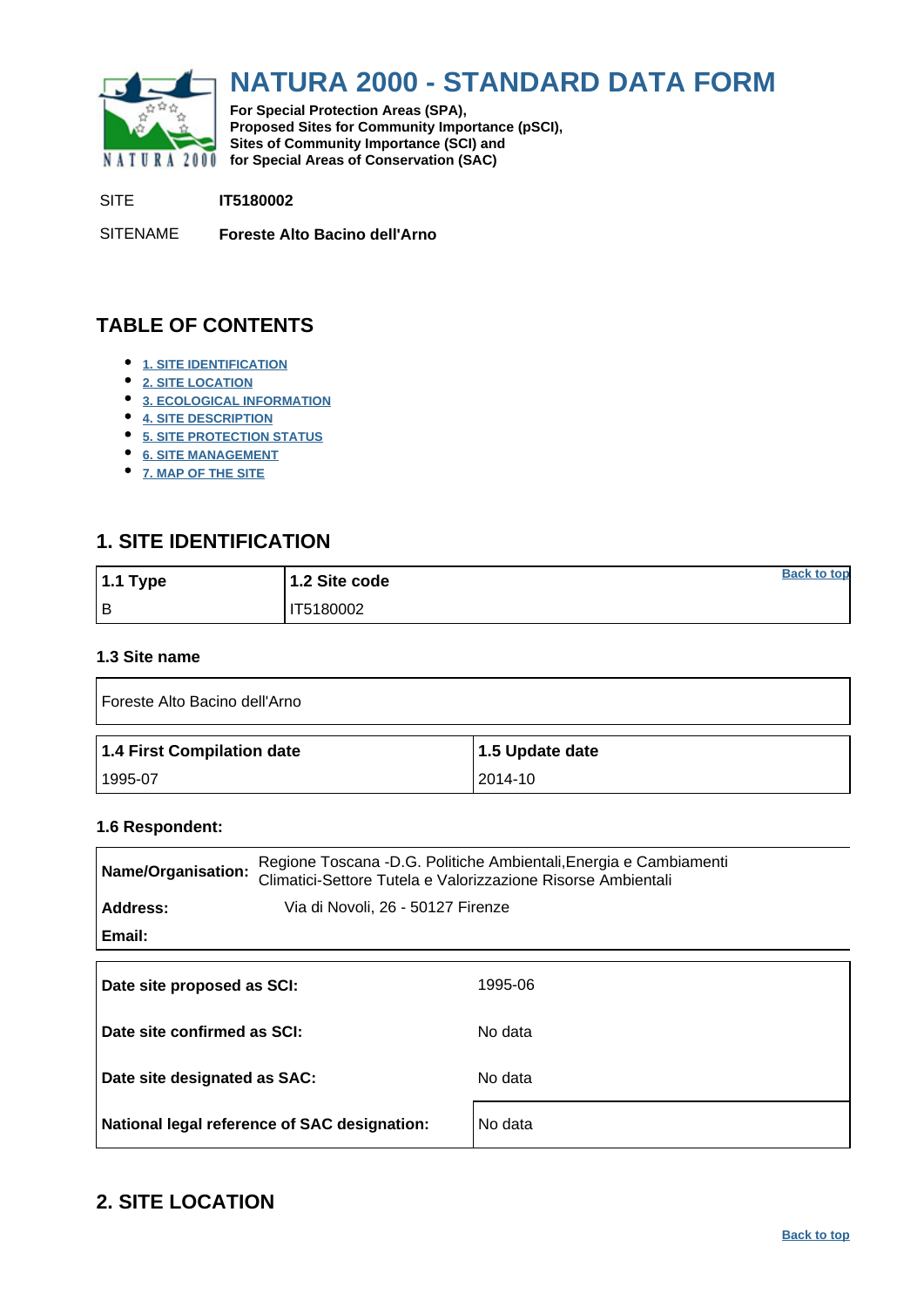<span id="page-0-0"></span>

# **NATURA 2000 - STANDARD DATA FORM**

**For Special Protection Areas (SPA), Proposed Sites for Community Importance (pSCI), Sites of Community Importance (SCI) and NATURA 2000** for Special Areas of Conservation (SAC)

SITE **IT5180002**

SITENAME **Foreste Alto Bacino dell'Arno**

## **TABLE OF CONTENTS**

- **[1. SITE IDENTIFICATION](#page-0-1)**
- **[2. SITE LOCATION](#page-0-2)**
- **[3. ECOLOGICAL INFORMATION](#page-1-0)**
- **[4. SITE DESCRIPTION](#page-6-0)**
- **[5. SITE PROTECTION STATUS](#page-7-0)**
- **[6. SITE MANAGEMENT](#page-8-0)**
- **[7. MAP OF THE SITE](#page-8-1)**

### <span id="page-0-1"></span>**1. SITE IDENTIFICATION**

| $1.1$ Type | 1.2 Site code | <b>Back to top</b> |
|------------|---------------|--------------------|
| Iв         | IT5180002     |                    |

#### **1.3 Site name**

| Foreste Alto Bacino dell'Arno |                 |  |  |  |  |  |  |  |
|-------------------------------|-----------------|--|--|--|--|--|--|--|
| 1.4 First Compilation date    | 1.5 Update date |  |  |  |  |  |  |  |
| 1995-07                       | 2014-10         |  |  |  |  |  |  |  |

#### **1.6 Respondent:**

| Name/Organisation:                            | Regione Toscana -D.G. Politiche Ambientali, Energia e Cambiamenti<br>Climatici-Settore Tutela e Valorizzazione Risorse Ambientali |
|-----------------------------------------------|-----------------------------------------------------------------------------------------------------------------------------------|
| Address:<br>Via di Novoli, 26 - 50127 Firenze |                                                                                                                                   |
| Email:                                        |                                                                                                                                   |
| Date site proposed as SCI:                    | 1995-06                                                                                                                           |
| Date site confirmed as SCI:                   | No data                                                                                                                           |
| Date site designated as SAC:                  | No data                                                                                                                           |
| National legal reference of SAC designation:  | No data                                                                                                                           |

### <span id="page-0-2"></span>**2. SITE LOCATION**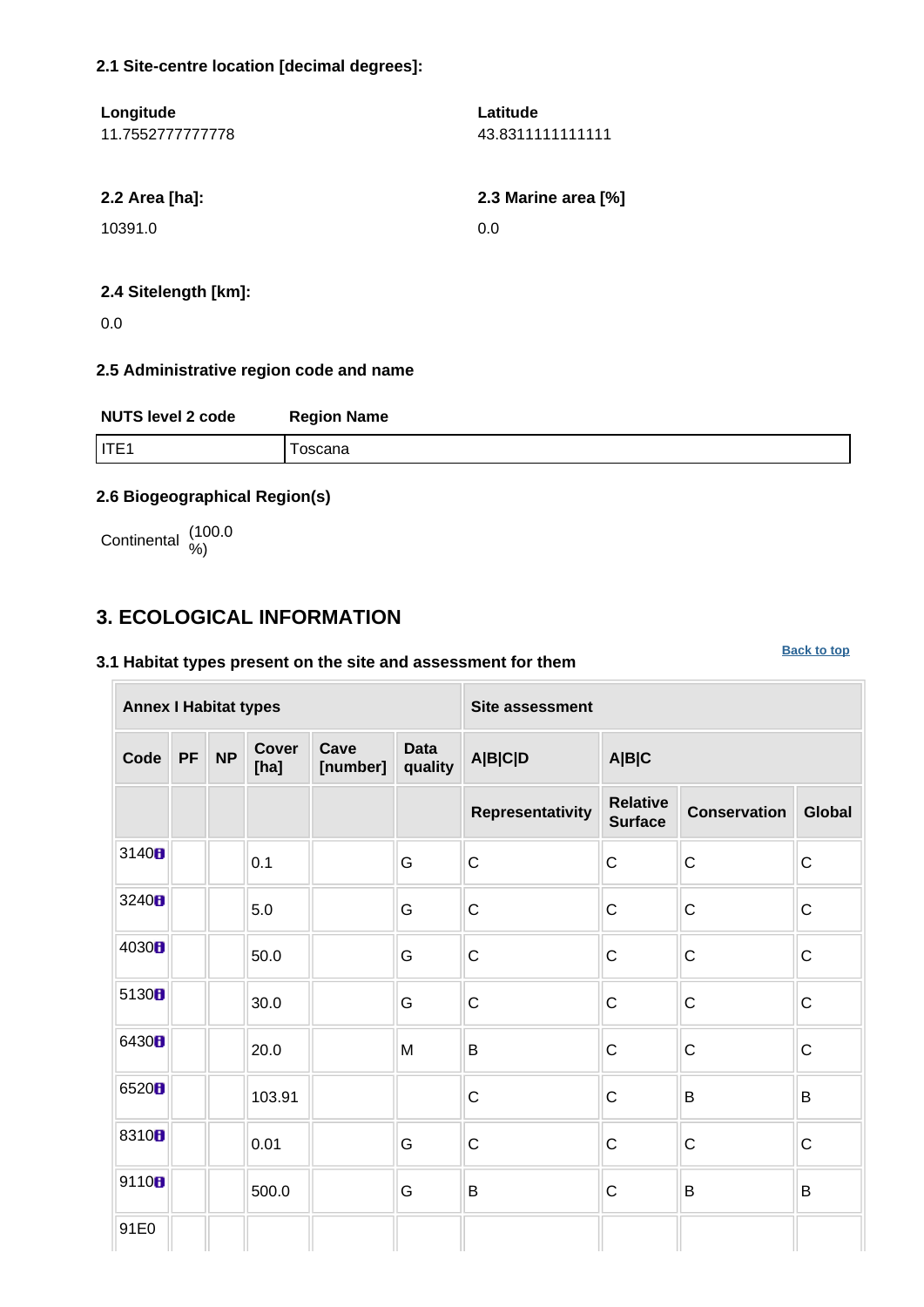#### **2.1 Site-centre location [decimal degrees]:**

| Longitude        | Latitude            |
|------------------|---------------------|
| 11.7552777777778 | 43.83111111111111   |
|                  |                     |
| 2.2 Area [ha]:   | 2.3 Marine area [%] |
| 10391.0          | 0.0                 |
|                  |                     |
|                  |                     |

### **2.4 Sitelength [km]:**

0.0

#### **2.5 Administrative region code and name**

| <b>NUTS level 2 code</b> | <b>Region Name</b> |
|--------------------------|--------------------|
| IITE1                    | oscana             |

### **2.6 Biogeographical Region(s)**

Continental (100.0

## <span id="page-1-0"></span>**3. ECOLOGICAL INFORMATION**

#### **3.1 Habitat types present on the site and assessment for them**

| <b>Annex I Habitat types</b> |                                                             |  |        |  |                        | <b>Site assessment</b> |                                   |                     |               |  |  |  |
|------------------------------|-------------------------------------------------------------|--|--------|--|------------------------|------------------------|-----------------------------------|---------------------|---------------|--|--|--|
| Code                         | <b>Cover</b><br>Cave<br><b>NP</b><br>PF<br>[number]<br>[ha] |  |        |  | <b>Data</b><br>quality | A B C D                | A B C                             |                     |               |  |  |  |
|                              |                                                             |  |        |  |                        | Representativity       | <b>Relative</b><br><b>Surface</b> | <b>Conservation</b> | <b>Global</b> |  |  |  |
| 3140 <sub>8</sub>            |                                                             |  | 0.1    |  | G                      | $\mathsf C$            | $\mathsf{C}$                      | $\mathsf C$         | $\mathsf C$   |  |  |  |
| 3240H                        |                                                             |  | 5.0    |  | G                      | $\mathsf C$            | $\mathsf{C}$                      | $\mathsf C$         | $\mathsf C$   |  |  |  |
| 4030B                        |                                                             |  | 50.0   |  | G                      | $\mathsf C$            | $\mathsf C$                       | $\mathsf C$         | $\mathsf{C}$  |  |  |  |
| 5130B                        |                                                             |  | 30.0   |  | ${\mathsf G}$          | $\mathsf C$            | $\mathsf C$                       | $\mathsf C$         | $\mathsf C$   |  |  |  |
| 6430B                        |                                                             |  | 20.0   |  | M                      | B                      | C                                 | $\mathsf C$         | $\mathsf C$   |  |  |  |
| 6520 <sub>B</sub>            |                                                             |  | 103.91 |  |                        | $\mathsf C$            | $\mathsf{C}$                      | B                   | B             |  |  |  |
| 8310 <sub>8</sub>            |                                                             |  | 0.01   |  | G                      | $\mathsf{C}$           | $\mathsf{C}$                      | $\mathsf{C}$        | $\mathsf{C}$  |  |  |  |
| 9110B                        |                                                             |  | 500.0  |  | G                      | B                      | $\mathsf C$                       | $\sf B$             | B             |  |  |  |
| 91E0                         |                                                             |  |        |  |                        |                        |                                   |                     |               |  |  |  |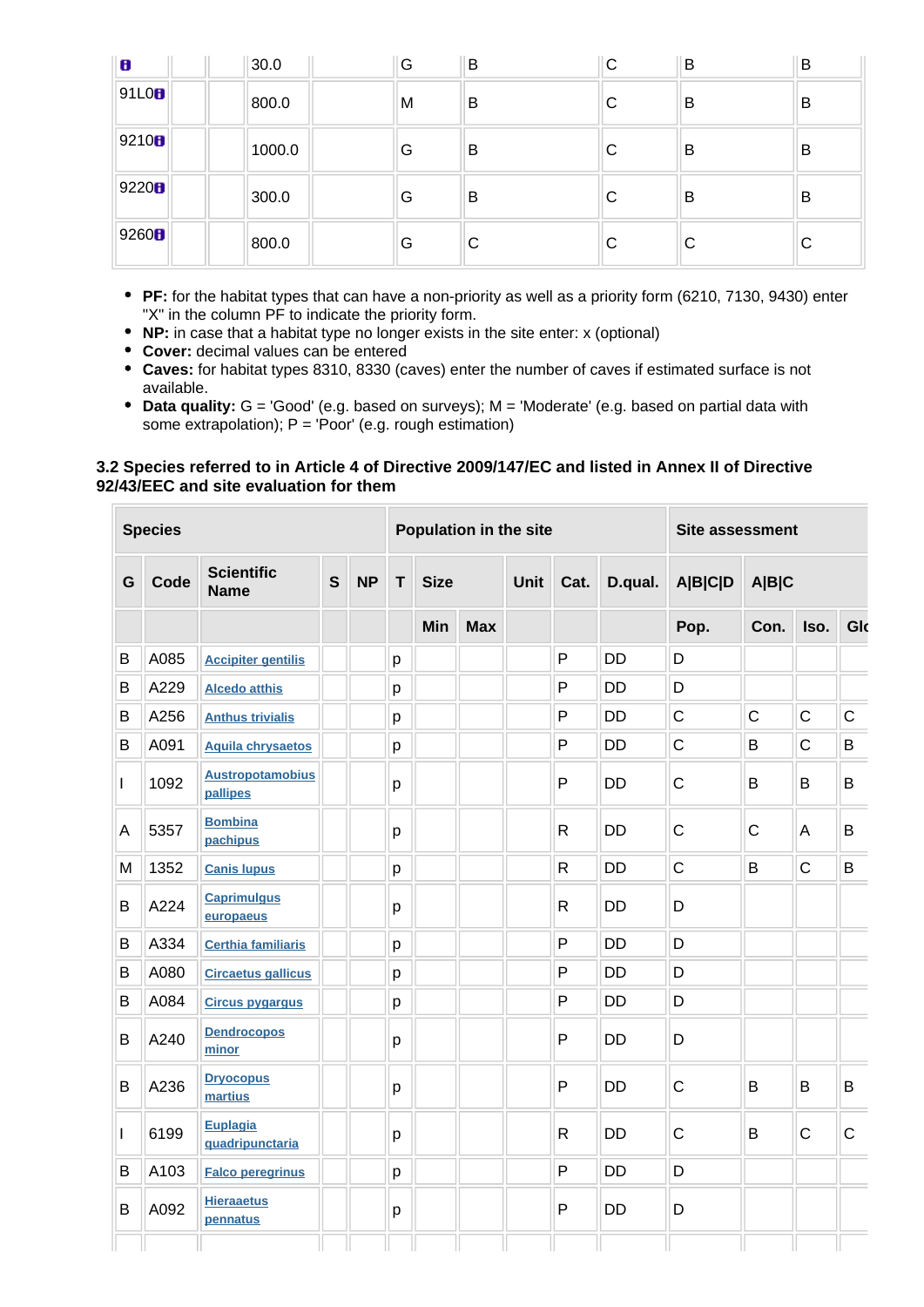| $\mathbf{B}$      | 30.0   | G | B | C | B | B |
|-------------------|--------|---|---|---|---|---|
| 91L0 <b>B</b>     | 800.0  | M | B | С | B | B |
| 9210 <sub>B</sub> | 1000.0 | G | B | С | B | B |
| 9220 <sup>h</sup> | 300.0  | G | B | С | В | B |
| 9260 <sup>2</sup> | 800.0  | G | C | С | С | C |

- **PF:** for the habitat types that can have a non-priority as well as a priority form (6210, 7130, 9430) enter "X" in the column PF to indicate the priority form.
- **NP:** in case that a habitat type no longer exists in the site enter: x (optional)
- **Cover:** decimal values can be entered
- **Caves:** for habitat types 8310, 8330 (caves) enter the number of caves if estimated surface is not available.
- **Data quality:** G = 'Good' (e.g. based on surveys); M = 'Moderate' (e.g. based on partial data with some extrapolation);  $P = 'Poor'$  (e.g. rough estimation)

#### **3.2 Species referred to in Article 4 of Directive 2009/147/EC and listed in Annex II of Directive 92/43/EEC and site evaluation for them**

|              | <b>Species</b> |                                     |   |           | Population in the site |                   |  |      |              |           | <b>Site assessment</b> |              |              |             |  |
|--------------|----------------|-------------------------------------|---|-----------|------------------------|-------------------|--|------|--------------|-----------|------------------------|--------------|--------------|-------------|--|
| G            | Code           | <b>Scientific</b><br><b>Name</b>    | S | <b>NP</b> | T                      | <b>Size</b>       |  | Unit | Cat.         | D.qual.   | <b>A B C D</b>         | A B C        |              |             |  |
|              |                |                                     |   |           |                        | Min<br><b>Max</b> |  |      |              |           | Pop.                   | Con.         | Iso.         | Glo         |  |
| B            | A085           | <b>Accipiter gentilis</b>           |   |           | p                      |                   |  |      | P            | <b>DD</b> | D                      |              |              |             |  |
| B            | A229           | <b>Alcedo atthis</b>                |   |           | p                      |                   |  |      | P            | <b>DD</b> | D                      |              |              |             |  |
| B            | A256           | <b>Anthus trivialis</b>             |   |           | p                      |                   |  |      | P            | <b>DD</b> | $\mathsf C$            | $\mathsf{C}$ | $\mathsf{C}$ | $\mathsf C$ |  |
| B            | A091           | <b>Aquila chrysaetos</b>            |   |           | p                      |                   |  |      | P            | <b>DD</b> | $\mathsf{C}$           | B            | $\mathsf{C}$ | B           |  |
| $\mathbf{I}$ | 1092           | <b>Austropotamobius</b><br>pallipes |   |           | p                      |                   |  |      | P            | <b>DD</b> | $\mathsf{C}$           | B            | B            | B           |  |
| A            | 5357           | <b>Bombina</b><br>pachipus          |   |           | p                      |                   |  |      | $\mathsf{R}$ | <b>DD</b> | $\mathsf{C}$           | $\mathsf{C}$ | A            | B           |  |
| M            | 1352           | <b>Canis lupus</b>                  |   |           | p                      |                   |  |      | R            | <b>DD</b> | $\mathsf{C}$           | B            | $\mathsf{C}$ | B           |  |
| B            | A224           | <b>Caprimulgus</b><br>europaeus     |   |           | p                      |                   |  |      | $\mathsf{R}$ | <b>DD</b> | D                      |              |              |             |  |
| B            | A334           | <b>Certhia familiaris</b>           |   |           | p                      |                   |  |      | P            | <b>DD</b> | D                      |              |              |             |  |
| B            | A080           | <b>Circaetus gallicus</b>           |   |           | p                      |                   |  |      | P            | <b>DD</b> | D                      |              |              |             |  |
| B            | A084           | <b>Circus pygargus</b>              |   |           | p                      |                   |  |      | P            | <b>DD</b> | D                      |              |              |             |  |
| B            | A240           | <b>Dendrocopos</b><br>minor         |   |           | p                      |                   |  |      | P            | <b>DD</b> | D                      |              |              |             |  |
| B            | A236           | <b>Dryocopus</b><br>martius         |   |           | p                      |                   |  |      | P            | <b>DD</b> | $\mathsf{C}$           | B            | B            | B           |  |
| $\mathbf{I}$ | 6199           | Euplagia<br>quadripunctaria         |   |           | p                      |                   |  |      | $\mathsf{R}$ | <b>DD</b> | $\mathsf{C}$           | B            | $\mathsf{C}$ | C           |  |
| B            | A103           | <b>Falco peregrinus</b>             |   |           | p                      |                   |  |      | P            | <b>DD</b> | D                      |              |              |             |  |
| B            | A092           | <b>Hieraaetus</b><br>pennatus       |   |           | р                      |                   |  |      | P            | <b>DD</b> | D                      |              |              |             |  |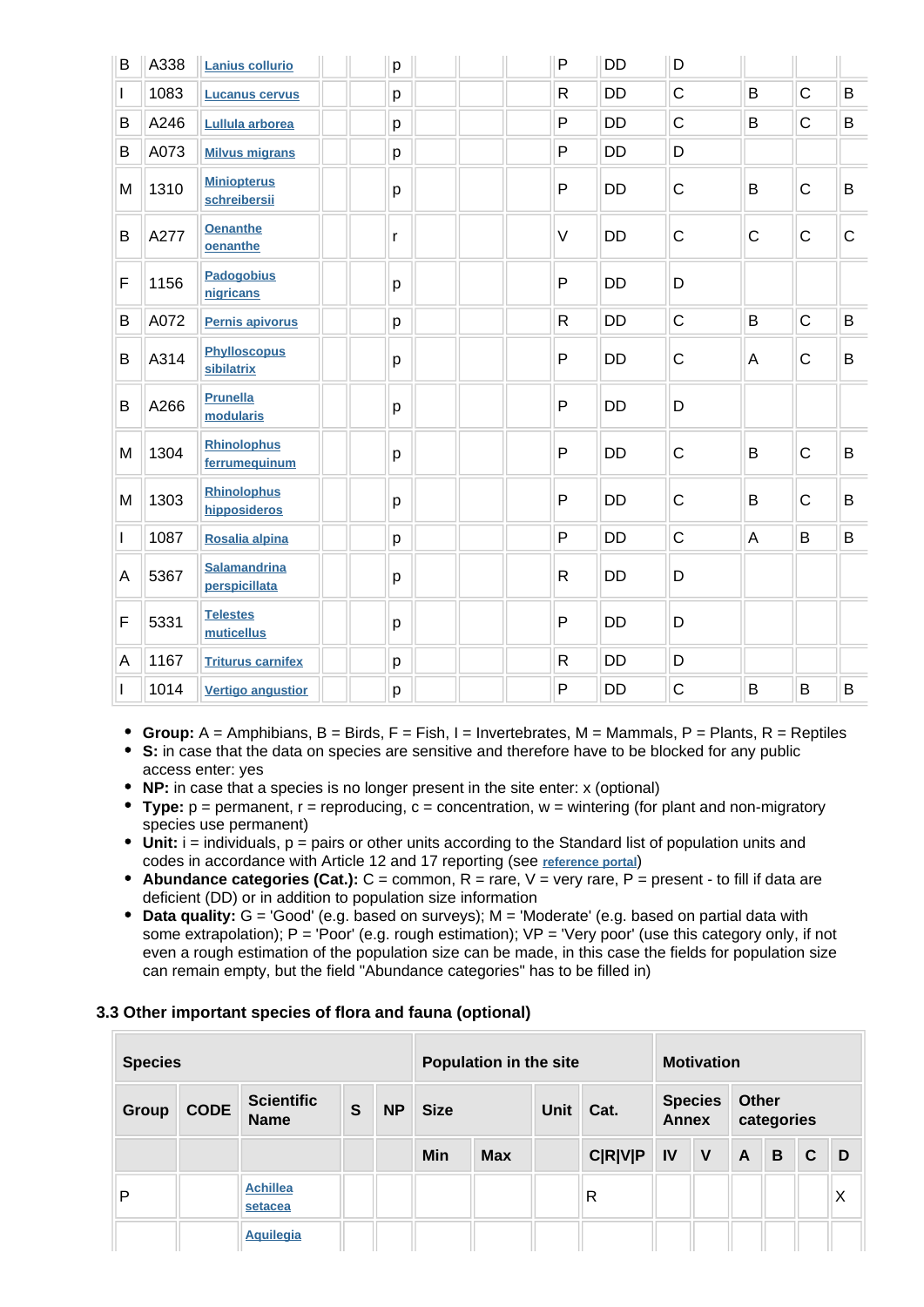| B            | A338 | <b>Lanius collurio</b>               | p | $\mathsf{P}$ | <b>DD</b> | D           |             |             |             |
|--------------|------|--------------------------------------|---|--------------|-----------|-------------|-------------|-------------|-------------|
| $\mathbf{I}$ | 1083 | <b>Lucanus cervus</b>                | p | $\mathsf{R}$ | <b>DD</b> | $\mathsf C$ | B           | $\mathsf C$ | B           |
| B            | A246 | Lullula arborea                      | p | $\mathsf{P}$ | <b>DD</b> | $\mathsf C$ | B           | $\mathsf C$ | B           |
| B            | A073 | <b>Milvus migrans</b>                | p | $\mathsf{P}$ | <b>DD</b> | D           |             |             |             |
| M            | 1310 | <b>Miniopterus</b><br>schreibersii   | p | P            | <b>DD</b> | C           | B           | $\mathsf C$ | B           |
| B            | A277 | <b>Oenanthe</b><br>oenanthe          | r | $\vee$       | <b>DD</b> | $\mathsf C$ | $\mathsf C$ | $\mathsf C$ | $\mathsf C$ |
| F            | 1156 | <b>Padogobius</b><br>nigricans       | p | P            | <b>DD</b> | D           |             |             |             |
| B            | A072 | Pernis apivorus                      | p | $\mathsf{R}$ | <b>DD</b> | $\mathsf C$ | B           | $\mathsf C$ | B           |
| B            | A314 | <b>Phylloscopus</b><br>sibilatrix    | p | $\mathsf{P}$ | <b>DD</b> | C           | A           | $\mathsf C$ | B           |
| B            | A266 | <b>Prunella</b><br>modularis         | p | $\mathsf{P}$ | <b>DD</b> | D           |             |             |             |
| M            | 1304 | <b>Rhinolophus</b><br>ferrumequinum  | p | $\mathsf{P}$ | <b>DD</b> | C           | B           | $\mathsf C$ | B           |
| M            | 1303 | <b>Rhinolophus</b><br>hipposideros   | p | P            | <b>DD</b> | C           | B           | $\mathsf C$ | B           |
| $\mathbf{I}$ | 1087 | Rosalia alpina                       | p | P            | <b>DD</b> | $\mathsf C$ | A           | B           | B           |
| A            | 5367 | <b>Salamandrina</b><br>perspicillata | p | $\mathsf{R}$ | <b>DD</b> | D           |             |             |             |
| F            | 5331 | <b>Telestes</b><br>muticellus        | p | P            | <b>DD</b> | D           |             |             |             |
| А            | 1167 | <b>Triturus carnifex</b>             | р | $\mathsf{R}$ | <b>DD</b> | D           |             |             |             |
| L            | 1014 | <b>Vertigo angustior</b>             | p | $\mathsf{P}$ | DD        | $\mathsf C$ | B           | B           | B           |

- **Group:** A = Amphibians, B = Birds, F = Fish, I = Invertebrates, M = Mammals, P = Plants, R = Reptiles
- **S:** in case that the data on species are sensitive and therefore have to be blocked for any public access enter: yes
- **NP:** in case that a species is no longer present in the site enter: x (optional)
- **Type:** p = permanent, r = reproducing, c = concentration, w = wintering (for plant and non-migratory species use permanent)
- Unit: i = individuals, p = pairs or other units according to the Standard list of population units and codes in accordance with Article 12 and 17 reporting (see **[reference portal](http://bd.eionet.europa.eu/activities/Natura_2000/reference_portal)**)
- **Abundance categories (Cat.):** C = common, R = rare, V = very rare, P = present to fill if data are deficient (DD) or in addition to population size information
- **Data quality:** G = 'Good' (e.g. based on surveys); M = 'Moderate' (e.g. based on partial data with some extrapolation); P = 'Poor' (e.g. rough estimation); VP = 'Very poor' (use this category only, if not even a rough estimation of the population size can be made, in this case the fields for population size can remain empty, but the field "Abundance categories" has to be filled in)

### **3.3 Other important species of flora and fauna (optional)**

| <b>Species</b> |             |                                  |   |           | Population in the site |            |             |                |              | <b>Motivation</b> |                            |   |              |   |  |
|----------------|-------------|----------------------------------|---|-----------|------------------------|------------|-------------|----------------|--------------|-------------------|----------------------------|---|--------------|---|--|
| <b>Group</b>   | <b>CODE</b> | <b>Scientific</b><br><b>Name</b> | S | <b>NP</b> | <b>Size</b>            |            | <b>Unit</b> | Cat.           | <b>Annex</b> | <b>Species</b>    | <b>Other</b><br>categories |   |              |   |  |
|                |             |                                  |   |           | Min                    | <b>Max</b> |             | <b>C R V P</b> | <b>IV</b>    | $\mathsf{V}$      | $\mathsf{A}$               | B | $\mathbf{C}$ | D |  |
| P              |             | <b>Achillea</b><br>setacea       |   |           |                        |            |             | R              |              |                   |                            |   |              | Χ |  |
|                |             | <b>Aquilegia</b>                 |   |           |                        |            |             |                |              |                   |                            |   |              |   |  |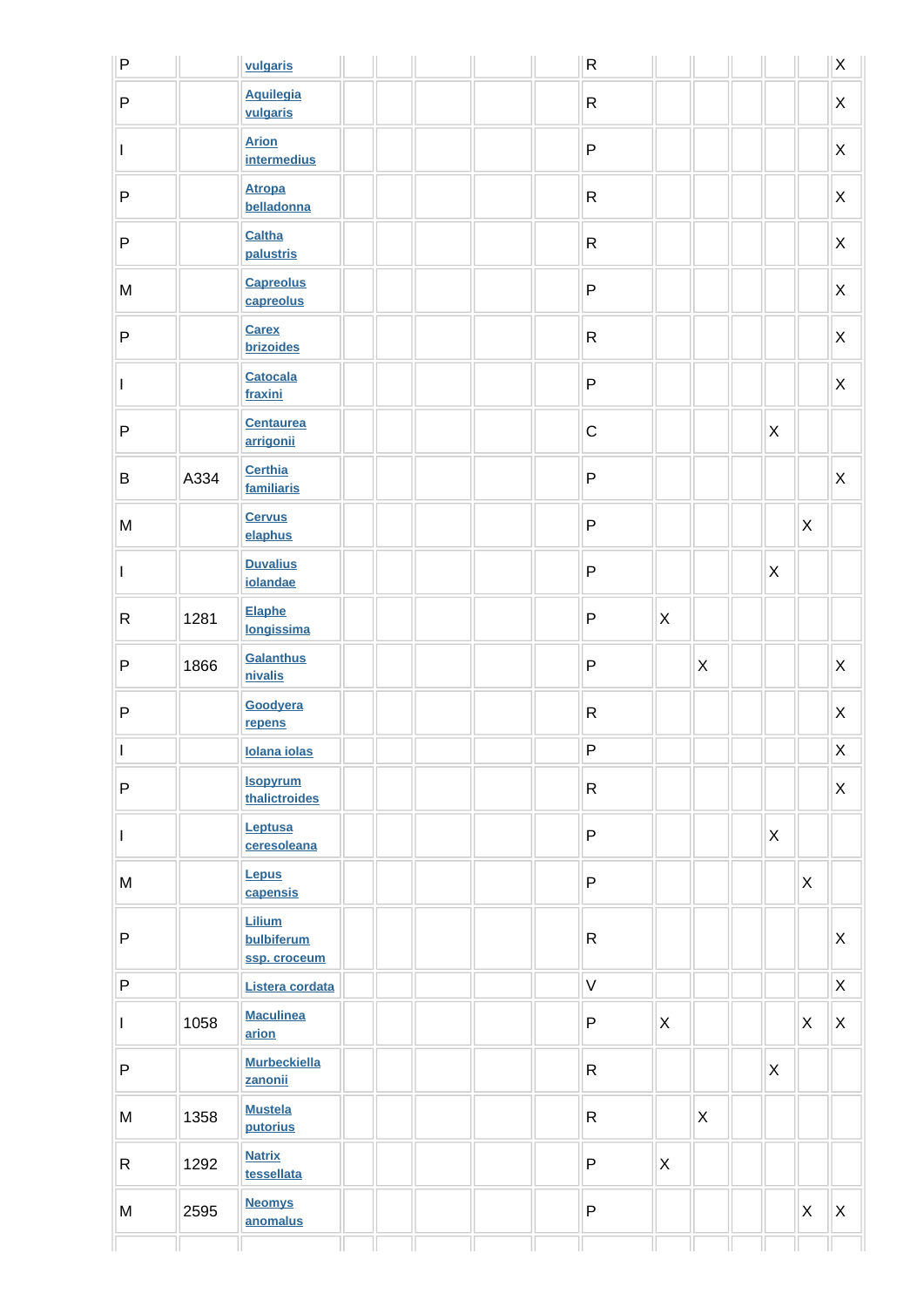| $\overline{P}$                                                                        |      | vulgaris                             |  |  | $\mathsf{R}$ |                |              |                           |              | $\sf X$            |
|---------------------------------------------------------------------------------------|------|--------------------------------------|--|--|--------------|----------------|--------------|---------------------------|--------------|--------------------|
| $\overline{P}$                                                                        |      | <b>Aquilegia</b><br>vulgaris         |  |  | $\mathsf{R}$ |                |              |                           |              | X                  |
| I                                                                                     |      | <b>Arion</b><br><b>intermedius</b>   |  |  | $\sf P$      |                |              |                           |              | X                  |
| $\sf P$                                                                               |      | <b>Atropa</b><br>belladonna          |  |  | $\mathsf{R}$ |                |              |                           |              | X                  |
| $\sf P$                                                                               |      | Caltha<br>palustris                  |  |  | $\mathsf{R}$ |                |              |                           |              | X                  |
| ${\sf M}$                                                                             |      | <b>Capreolus</b><br>capreolus        |  |  | $\mathsf{P}$ |                |              |                           |              | X                  |
| $\sf P$                                                                               |      | <b>Carex</b><br><b>brizoides</b>     |  |  | ${\sf R}$    |                |              |                           |              | X                  |
| $\mathbf{I}$                                                                          |      | <b>Catocala</b><br>fraxini           |  |  | $\sf P$      |                |              |                           |              | X                  |
| $\sf P$                                                                               |      | <b>Centaurea</b><br>arrigonii        |  |  | $\mathsf C$  |                |              | $\mathsf{X}$              |              |                    |
| $\sf B$                                                                               | A334 | <b>Certhia</b><br>familiaris         |  |  | $\sf P$      |                |              |                           |              | X                  |
| ${\sf M}$                                                                             |      | <b>Cervus</b><br>elaphus             |  |  | $\sf P$      |                |              |                           | X            |                    |
| $\mathbf{I}$                                                                          |      | <b>Duvalius</b><br>iolandae          |  |  | ${\sf P}$    |                |              | $\boldsymbol{\mathsf{X}}$ |              |                    |
| $\mathsf{R}$                                                                          | 1281 | Elaphe<br>longissima                 |  |  | $\mathsf{P}$ | $\mathsf{X}$   |              |                           |              |                    |
| $\sf P$                                                                               | 1866 | Galanthus<br>nivalis                 |  |  | $\sf P$      |                | $\mathsf{X}$ |                           |              | X                  |
| $\mathsf{P}$                                                                          |      | Goodyera<br>repens                   |  |  | ${\sf R}$    |                |              |                           |              | X                  |
| $\vert \, \vert$                                                                      |      | <b>Iolana iolas</b>                  |  |  | $\sf P$      |                |              |                           |              | $\mathsf{X}% _{0}$ |
| ${\sf P}$                                                                             |      | <b>Isopyrum</b><br>thalictroides     |  |  | $\mathsf{R}$ |                |              |                           |              | X                  |
| $\mathsf{I}$                                                                          |      | Leptusa<br>ceresoleana               |  |  | $\sf P$      |                |              | $\mathsf X$               |              |                    |
| $\mathsf{M}% _{T}=\mathsf{M}_{T}\!\left( a,b\right) ,\ \mathsf{M}_{T}=\mathsf{M}_{T}$ |      | <b>Lepus</b><br>capensis             |  |  | $\sf P$      |                |              |                           | $\mathsf{X}$ |                    |
| ${\sf P}$                                                                             |      | Lilium<br>bulbiferum<br>ssp. croceum |  |  | $\mathsf{R}$ |                |              |                           |              | X                  |
| $\sf P$                                                                               |      | Listera cordata                      |  |  | $\mathsf{V}$ |                |              |                           |              | X                  |
| $\mathbf{I}$                                                                          | 1058 | <b>Maculinea</b><br>arion            |  |  | P            | $\pmb{\times}$ |              |                           | $\mathsf{X}$ | X                  |
| ${\sf P}$                                                                             |      | <b>Murbeckiella</b><br>zanonii       |  |  | $\mathsf{R}$ |                |              | $\mathsf{X}$              |              |                    |
| ${\sf M}$                                                                             | 1358 | <b>Mustela</b><br>putorius           |  |  | $\mathsf{R}$ |                | X            |                           |              |                    |
| $\mathsf{R}$                                                                          | 1292 | <b>Natrix</b><br>tessellata          |  |  | $\sf P$      | $\pmb{\times}$ |              |                           |              |                    |
| ${\sf M}$                                                                             | 2595 | <b>Neomys</b><br>anomalus            |  |  | ${\sf P}$    |                |              |                           | $\mathsf{X}$ | X                  |
|                                                                                       |      |                                      |  |  |              |                |              |                           |              |                    |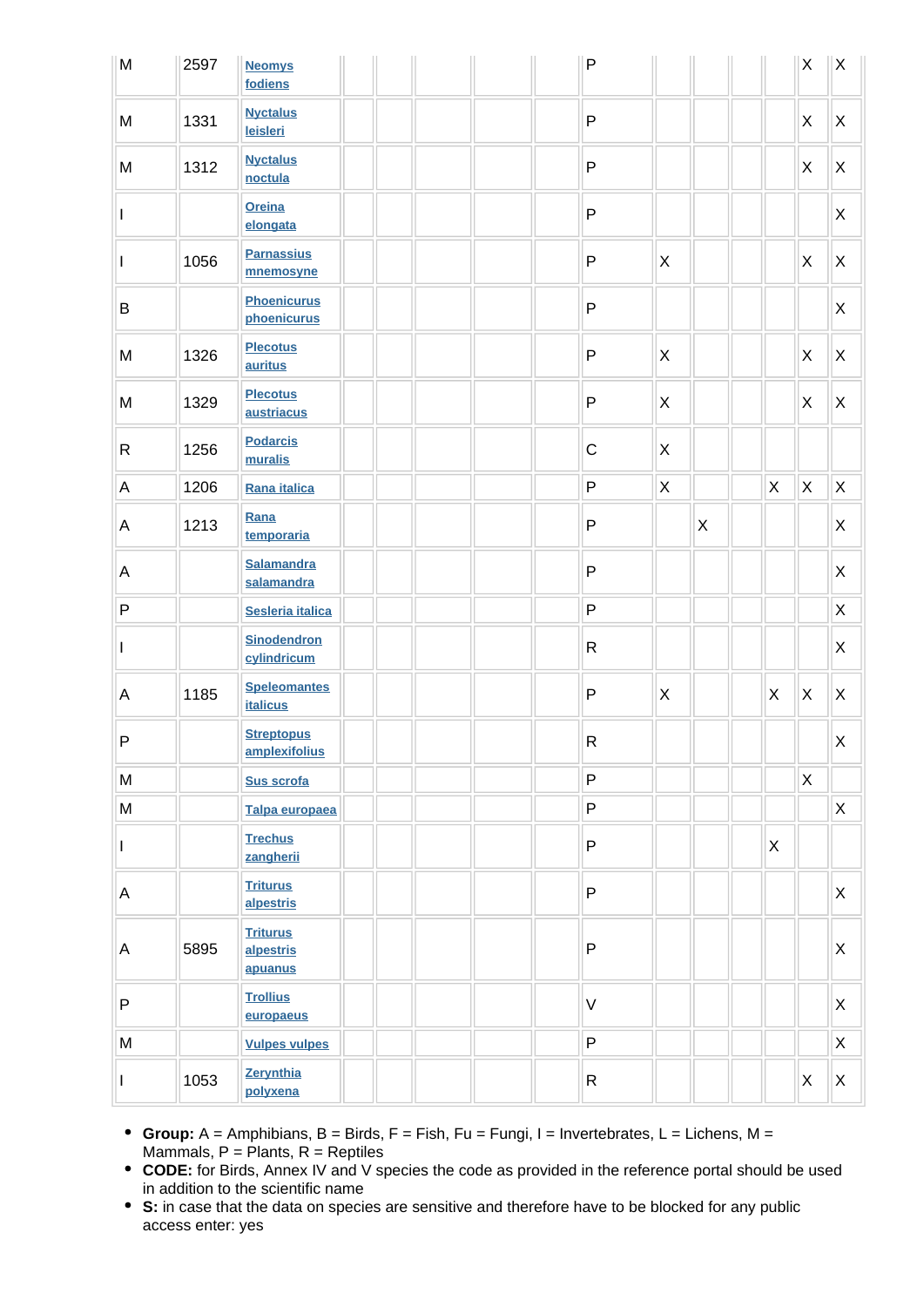| M                                                                                     | 2597 | <b>Neomys</b><br>fodiens                |  |  | $\mathsf{P}$ |              |   |              | X            | $\mathsf X$               |
|---------------------------------------------------------------------------------------|------|-----------------------------------------|--|--|--------------|--------------|---|--------------|--------------|---------------------------|
| M                                                                                     | 1331 | <b>Nyctalus</b><br>leisleri             |  |  | $\mathsf{P}$ |              |   |              | X            | $\boldsymbol{\mathsf{X}}$ |
| M                                                                                     | 1312 | <b>Nyctalus</b><br>noctula              |  |  | P            |              |   |              | $\mathsf{X}$ | $\pmb{\times}$            |
| L                                                                                     |      | <b>Oreina</b><br>elongata               |  |  | $\mathsf{P}$ |              |   |              |              | X                         |
| L                                                                                     | 1056 | <b>Parnassius</b><br>mnemosyne          |  |  | $\mathsf{P}$ | $\mathsf{X}$ |   |              | $\mathsf{X}$ | $\pmb{\times}$            |
| B                                                                                     |      | <b>Phoenicurus</b><br>phoenicurus       |  |  | $\mathsf{P}$ |              |   |              |              | X                         |
| ${\sf M}$                                                                             | 1326 | <b>Plecotus</b><br>auritus              |  |  | $\mathsf{P}$ | $\mathsf{X}$ |   |              | $\mathsf{X}$ | $\boldsymbol{\mathsf{X}}$ |
| M                                                                                     | 1329 | <b>Plecotus</b><br>austriacus           |  |  | $\mathsf{P}$ | X            |   |              | X            | $\mathsf X$               |
| $\mathsf{R}$                                                                          | 1256 | <b>Podarcis</b><br>muralis              |  |  | $\mathsf C$  | X            |   |              |              |                           |
| A                                                                                     | 1206 | Rana italica                            |  |  | ${\sf P}$    | $\mathsf X$  |   | $\mathsf X$  | $\mathsf X$  | $\pmb{\times}$            |
| A                                                                                     | 1213 | Rana<br>temporaria                      |  |  | P            |              | X |              |              | Χ                         |
| A                                                                                     |      | <b>Salamandra</b><br>salamandra         |  |  | P            |              |   |              |              | $\pmb{\times}$            |
| ${\sf P}$                                                                             |      | Sesleria italica                        |  |  | P            |              |   |              |              | $\mathsf X$               |
| $\mathbf{I}$                                                                          |      | <b>Sinodendron</b><br>cylindricum       |  |  | $\mathsf{R}$ |              |   |              |              | X                         |
| A                                                                                     | 1185 | <b>Speleomantes</b><br><b>italicus</b>  |  |  | $\mathsf{P}$ | $\mathsf{X}$ |   | $\times$     | $\mathsf{X}$ | $\pmb{\times}$            |
| P                                                                                     |      | <b>Streptopus</b><br>amplexifolius      |  |  | R            |              |   |              |              | X                         |
| M                                                                                     |      | Sus scrofa                              |  |  | P            |              |   |              | $\mathsf{X}$ |                           |
| $\mathsf{M}% _{T}=\mathsf{M}_{T}\!\left( a,b\right) ,\ \mathsf{M}_{T}=\mathsf{M}_{T}$ |      | Talpa europaea                          |  |  | P            |              |   |              |              | $\pmb{\times}$            |
| $\mathbf{I}$                                                                          |      | <b>Trechus</b><br>zangherii             |  |  | P            |              |   | $\mathsf{X}$ |              |                           |
| A                                                                                     |      | <b>Triturus</b><br>alpestris            |  |  | P            |              |   |              |              | $\mathsf{X}$              |
| Α                                                                                     | 5895 | <b>Triturus</b><br>alpestris<br>apuanus |  |  | P            |              |   |              |              | $\pmb{\times}$            |
| P                                                                                     |      | <b>Trollius</b><br>europaeus            |  |  | $\vee$       |              |   |              |              | $\mathsf{X}$              |
| M                                                                                     |      | <b>Vulpes vulpes</b>                    |  |  | P            |              |   |              |              | $\mathsf X$               |
| $\mathsf{I}$                                                                          | 1053 | Zerynthia<br>polyxena                   |  |  | $\mathsf{R}$ |              |   |              | $\mathsf X$  | $\mathsf{X}$              |

- **Group:** A = Amphibians, B = Birds, F = Fish, Fu = Fungi, I = Invertebrates, L = Lichens, M = Mammals,  $P =$  Plants,  $R =$  Reptiles
- **CODE:** for Birds, Annex IV and V species the code as provided in the reference portal should be used in addition to the scientific name
- **S:** in case that the data on species are sensitive and therefore have to be blocked for any public access enter: yes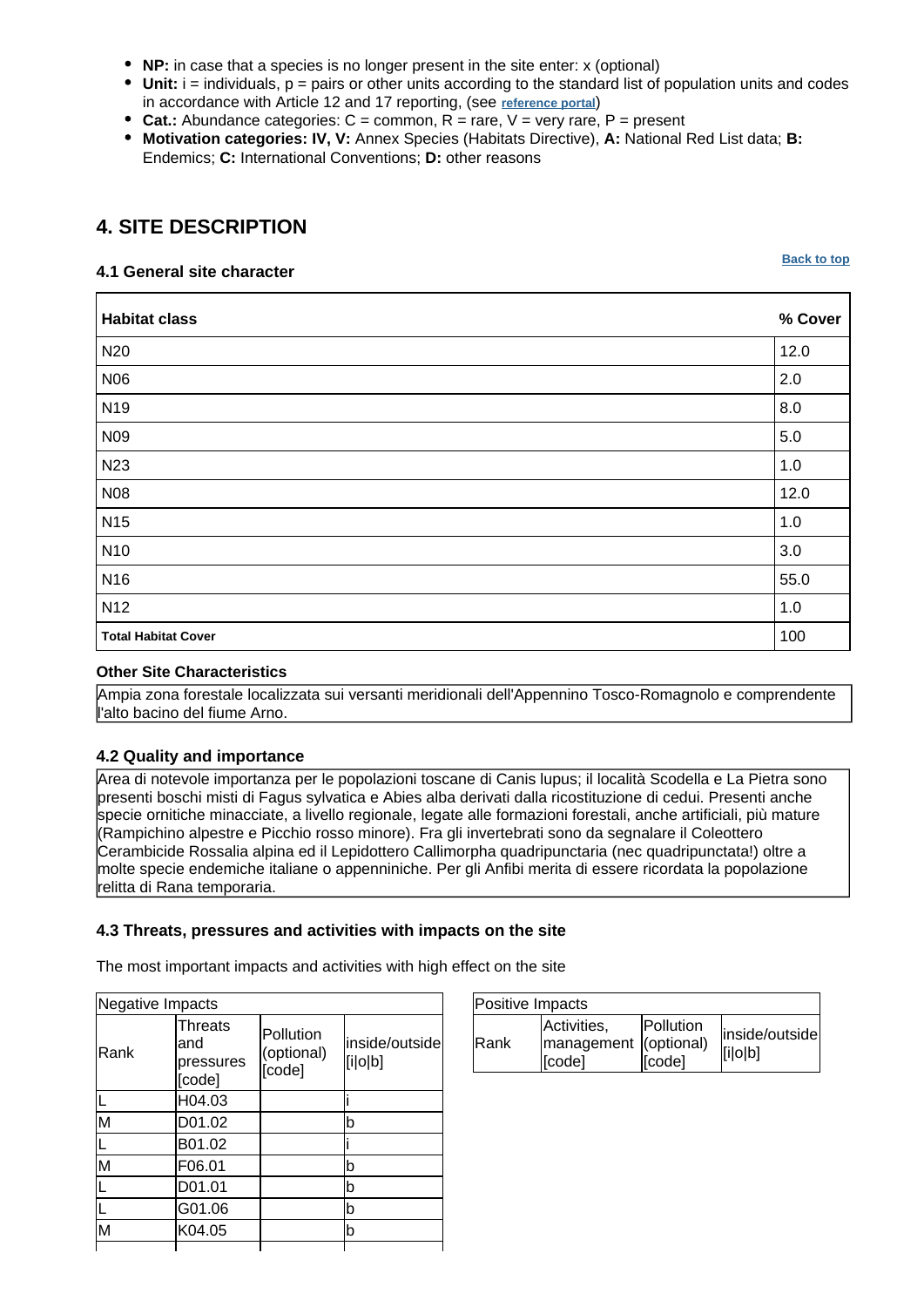- **NP:** in case that a species is no longer present in the site enter: x (optional)
- **Unit:** i = individuals, p = pairs or other units according to the standard list of population units and codes in accordance with Article 12 and 17 reporting, (see **[reference portal](http://bd.eionet.europa.eu/activities/Natura_2000/reference_portal)**)
- **Cat.:** Abundance categories: C = common, R = rare, V = very rare, P = present
- **Motivation categories: IV, V:** Annex Species (Habitats Directive), **A:** National Red List data; **B:** Endemics; **C:** International Conventions; **D:** other reasons

## <span id="page-6-0"></span>**4. SITE DESCRIPTION**

#### **4.1 General site character**

**Habitat class % Cover** N20  $\vert$  12.0 N06 2.0 N19  $\vert$  8.0  $N09$  5.0 N23  $\vert$  1.0 N08 12.0 N15 1.0 N10 3.0 N16 55.0 N12 1.0 **Total Habitat Cover** 2008 **100** 

#### **Other Site Characteristics**

Ampia zona forestale localizzata sui versanti meridionali dell'Appennino Tosco-Romagnolo e comprendente l'alto bacino del fiume Arno.

#### **4.2 Quality and importance**

Area di notevole importanza per le popolazioni toscane di Canis lupus; il località Scodella e La Pietra sono presenti boschi misti di Fagus sylvatica e Abies alba derivati dalla ricostituzione di cedui. Presenti anche specie ornitiche minacciate, a livello regionale, legate alle formazioni forestali, anche artificiali, più mature (Rampichino alpestre e Picchio rosso minore). Fra gli invertebrati sono da segnalare il Coleottero Cerambicide Rossalia alpina ed il Lepidottero Callimorpha quadripunctaria (nec quadripunctata!) oltre a molte specie endemiche italiane o appenniniche. Per gli Anfibi merita di essere ricordata la popolazione relitta di Rana temporaria.

#### **4.3 Threats, pressures and activities with impacts on the site**

The most important impacts and activities with high effect on the site

| Negative Impacts                             |                                   |                           |  |  |
|----------------------------------------------|-----------------------------------|---------------------------|--|--|
| <b>Threats</b><br>and<br>pressures<br>[code] | Pollution<br>(optional)<br>[code] | inside/outside<br>[i o b] |  |  |
| H04.03                                       |                                   |                           |  |  |
| D01.02                                       |                                   | b                         |  |  |
| B01.02                                       |                                   |                           |  |  |
| F06.01                                       |                                   | b                         |  |  |
| D01.01                                       |                                   | b                         |  |  |
| G01.06                                       |                                   | b                         |  |  |
| K04.05                                       |                                   | b                         |  |  |
|                                              |                                   |                           |  |  |

| Positive Impacts |                                                |                             |                           |
|------------------|------------------------------------------------|-----------------------------|---------------------------|
| <b>IRank</b>     | Activities,<br>management (optional)<br>[code] | <b>IPollution</b><br>[code] | inside/outside<br>[ilolb] |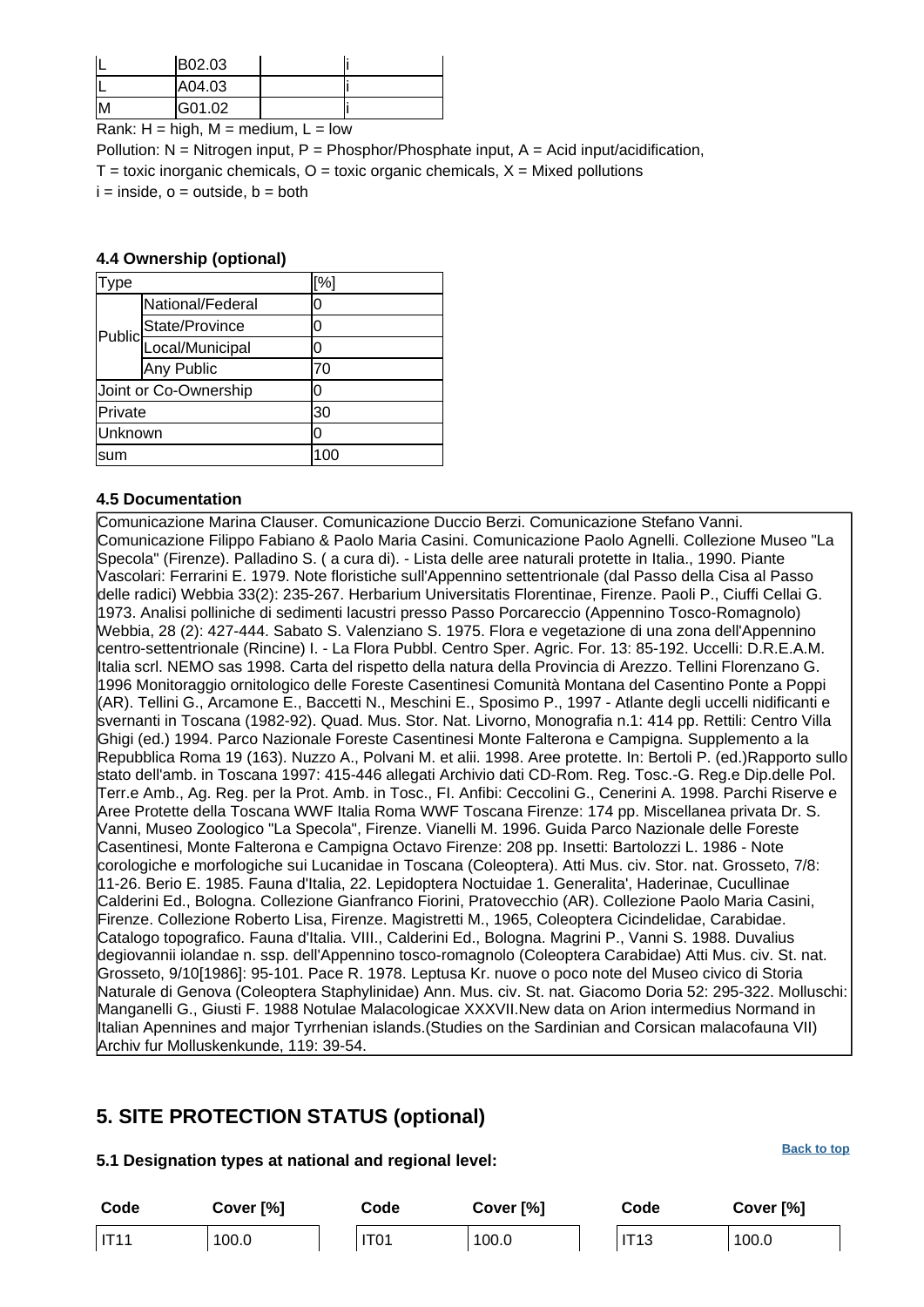| B02.03 |  |
|--------|--|
| A04.03 |  |
| G01.02 |  |

Rank:  $H = high$ ,  $M = medium$ ,  $L = low$ 

Pollution:  $N =$  Nitrogen input, P = Phosphor/Phosphate input, A = Acid input/acidification,  $T =$  toxic inorganic chemicals,  $O =$  toxic organic chemicals,  $X =$  Mixed pollutions  $i = inside, o = outside, b = both$ 

#### **4.4 Ownership (optional)**

| ype     |                       | [%] |
|---------|-----------------------|-----|
|         | National/Federal      | 0   |
|         | State/Province        | 0   |
| Public  | Local/Municipal       | 0   |
|         | Any Public            | 70  |
|         | Joint or Co-Ownership | 0   |
| Private |                       | 30  |
| Unknown |                       | ۱O  |
| sum     |                       | 100 |

#### **4.5 Documentation**

Comunicazione Marina Clauser.
Comunicazione Duccio Berzi.
Comunicazione Stefano Vanni. Comunicazione Filippo Fabiano & Paolo Maria Casini.
Comunicazione Paolo Agnelli. Collezione Museo "La Specola" (Firenze). Palladino S. ( a cura di). - Lista delle aree naturali protette in Italia., 1990. Piante Vascolari: Ferrarini E. 1979. Note floristiche sull'Appennino settentrionale (dal Passo della Cisa al Passo delle radici) Webbia 33(2): 235-267. Herbarium Universitatis Florentinae, Firenze. Paoli P., Ciuffi Cellai G. 1973. Analisi polliniche di sedimenti lacustri presso Passo Porcareccio (Appennino Tosco-Romagnolo) Webbia, 28 (2): 427-444. Sabato S. Valenziano S. 1975. Flora e vegetazione di una zona dell'Appennino centro-settentrionale (Rincine) I. - La Flora Pubbl. Centro Sper. Agric. For. 13: 85-192. Uccelli: D.R.E.A.M. Italia scrl. NEMO sas 1998. Carta del rispetto della natura della Provincia di Arezzo. Tellini Florenzano G. 1996 Monitoraggio ornitologico delle Foreste Casentinesi Comunità Montana del Casentino Ponte a Poppi (AR). Tellini G., Arcamone E., Baccetti N., Meschini E., Sposimo P., 1997 - Atlante degli uccelli nidificanti e svernanti in Toscana (1982-92). Quad. Mus. Stor. Nat. Livorno, Monografia n.1: 414 pp. Rettili: Centro Villa Ghigi (ed.) 1994. Parco Nazionale Foreste Casentinesi Monte Falterona e Campigna. Supplemento a la Repubblica Roma 19 (163). Nuzzo A., Polvani M. et alii. 1998. Aree protette. In: Bertoli P. (ed.)Rapporto sullo stato dell'amb. in Toscana 1997: 415-446 allegati Archivio dati CD-Rom. Reg. Tosc.-G. Reg.e Dip.delle Pol. Terr.e Amb., Ag. Reg. per la Prot. Amb. in Tosc., FI. Anfibi: Ceccolini G., Cenerini A. 1998. Parchi Riserve e Aree Protette della Toscana WWF Italia Roma WWF Toscana Firenze: 174 pp. Miscellanea privata Dr. S. Vanni, Museo Zoologico "La Specola", Firenze. Vianelli M. 1996. Guida Parco Nazionale delle Foreste Casentinesi, Monte Falterona e Campigna Octavo Firenze: 208 pp. Insetti: Bartolozzi L. 1986 - Note corologiche e morfologiche sui Lucanidae in Toscana (Coleoptera). Atti Mus. civ. Stor. nat. Grosseto, 7/8: 11-26. Berio E. 1985. Fauna d'Italia, 22. Lepidoptera Noctuidae 1. Generalita', Haderinae, Cucullinae Calderini Ed., Bologna. Collezione Gianfranco Fiorini, Pratovecchio (AR).
Collezione Paolo Maria Casini, Firenze.
Collezione Roberto Lisa, Firenze. Magistretti M., 1965, Coleoptera Cicindelidae, Carabidae. Catalogo topografico. Fauna d'Italia. VIII., Calderini Ed., Bologna. Magrini P., Vanni S. 1988. Duvalius degiovannii iolandae n. ssp. dell'Appennino tosco-romagnolo (Coleoptera Carabidae) Atti Mus. civ. St. nat. Grosseto, 9/10[1986]: 95-101. Pace R. 1978. Leptusa Kr. nuove o poco note del Museo civico di Storia Naturale di Genova (Coleoptera Staphylinidae) Ann. Mus. civ. St. nat. Giacomo Doria 52: 295-322. Molluschi: Manganelli G., Giusti F. 1988 Notulae Malacologicae XXXVII.New data on Arion intermedius Normand in Italian Apennines and major Tyrrhenian islands.(Studies on the Sardinian and Corsican malacofauna VII) Archiv fur Molluskenkunde, 119: 39-54.

### <span id="page-7-0"></span>**5. SITE PROTECTION STATUS (optional)**

#### **5.1 Designation types at national and regional level:**

| Code  | Cover [%] | Code             | Cover [%] | Code        | Cover [%] |
|-------|-----------|------------------|-----------|-------------|-----------|
| IIT11 | 100.0     | IT <sub>01</sub> | 100.0     | <b>IT13</b> | 100.0     |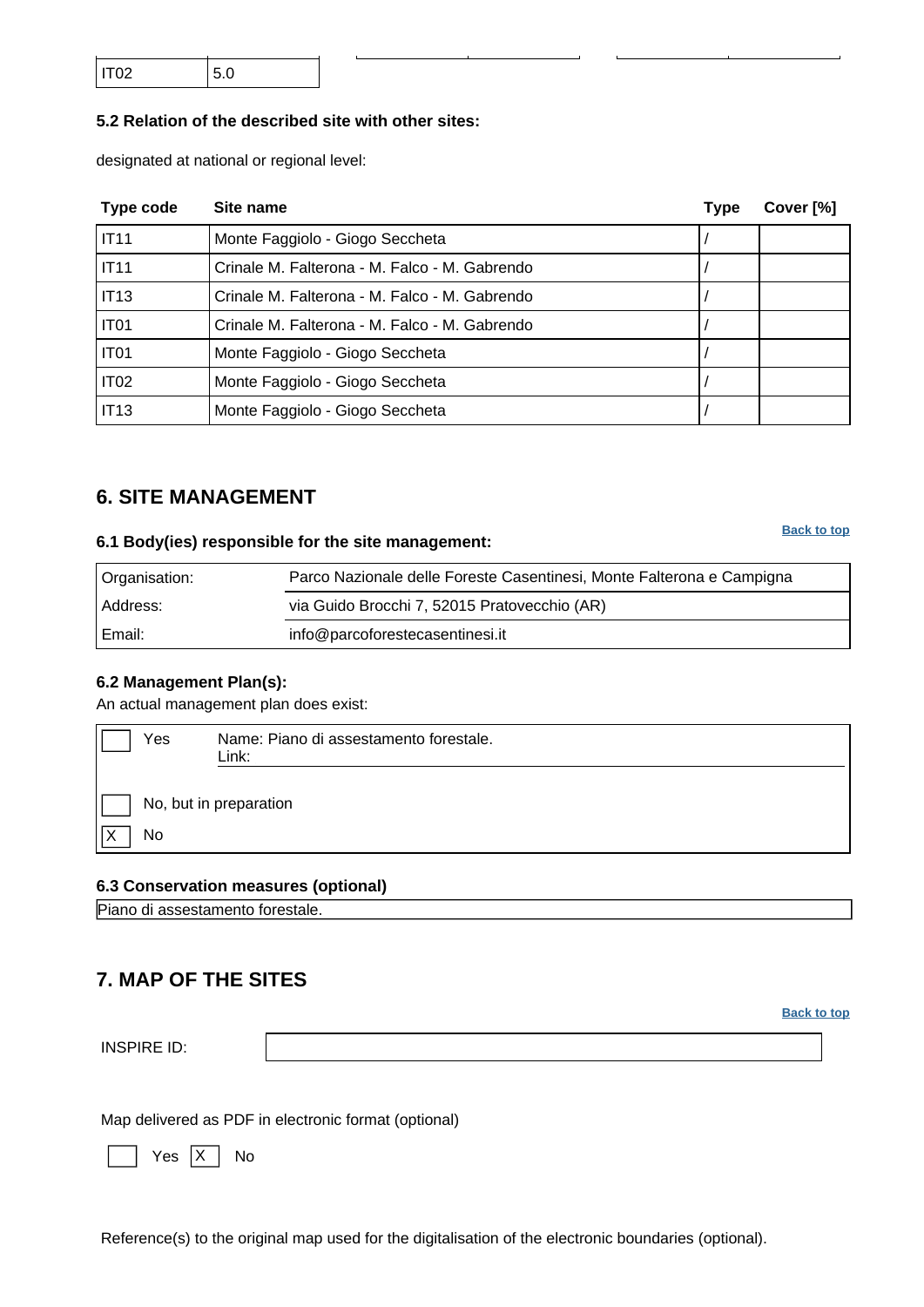| IT <sub>02</sub> | 5.0 |  |
|------------------|-----|--|
|                  |     |  |

#### **5.2 Relation of the described site with other sites:**

designated at national or regional level:

| Type code        | Site name                                     | <b>Type</b> | Cover [%] |
|------------------|-----------------------------------------------|-------------|-----------|
| <b>IT11</b>      | Monte Faggiolo - Giogo Seccheta               |             |           |
| IT11             | Crinale M. Falterona - M. Falco - M. Gabrendo |             |           |
| <b>IT13</b>      | Crinale M. Falterona - M. Falco - M. Gabrendo |             |           |
| IT <sub>01</sub> | Crinale M. Falterona - M. Falco - M. Gabrendo |             |           |
| IT <sub>01</sub> | Monte Faggiolo - Giogo Seccheta               |             |           |
| IT <sub>02</sub> | Monte Faggiolo - Giogo Seccheta               |             |           |
| <b>IT13</b>      | Monte Faggiolo - Giogo Seccheta               |             |           |

### <span id="page-8-0"></span>**6. SITE MANAGEMENT**

### **6.1 Body(ies) responsible for the site management:**

Organisation: Parco Nazionale delle Foreste Casentinesi, Monte Falterona e Campigna Address: via Guido Brocchi 7, 52015 Pratovecchio (AR) Email: info@parcoforestecasentinesi.it

#### **6.2 Management Plan(s):**

An actual management plan does exist:

| Yes | Name: Piano di assestamento forestale.<br>Link: |  |  |  |
|-----|-------------------------------------------------|--|--|--|
|     | No, but in preparation                          |  |  |  |
| No  |                                                 |  |  |  |

#### **6.3 Conservation measures (optional)**

Piano di assestamento forestale.

### <span id="page-8-1"></span>**7. MAP OF THE SITES**

INSPIRE ID:

Map delivered as PDF in electronic format (optional)

Yes |X | No

Reference(s) to the original map used for the digitalisation of the electronic boundaries (optional).

#### **[Back to top](#page-0-0)**